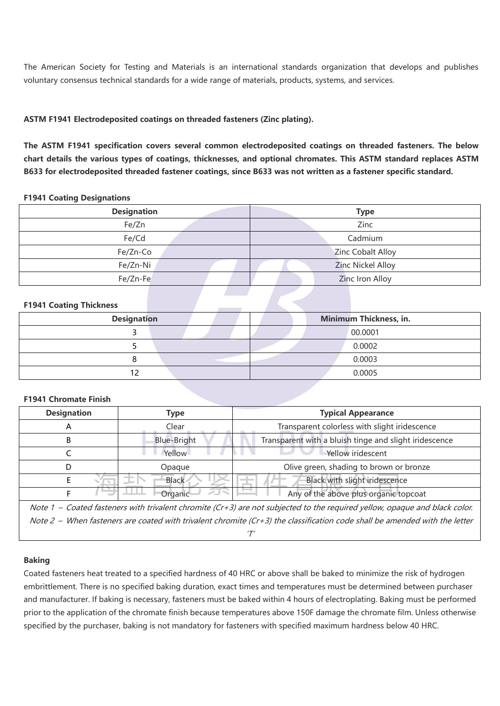The American Society for Testing and Materials is an international standards organization that develops and publishes voluntary consensus technical standards for a wide range of materials, products, systems, and services.

## **ASTM F1941 Electrodeposited coatings on threaded fasteners (Zinc plating).**

**The ASTM F1941 specification covers several common electrodeposited coatings on threaded fasteners. The below** chart details the various types of coatings, thicknesses, and optional chromates. This ASTM standard replaces ASTM B633 for electrodeposited threaded fastener coatings, since B633 was not written as a fastener specific standard.

#### **F1941 Coating Designations**

| <b>Designation</b> | <b>Type</b>              |
|--------------------|--------------------------|
| Fe/Zn              | Zinc                     |
| Fe/Cd              | Cadmium                  |
| Fe/Zn-Co           | <b>Zinc Cobalt Alloy</b> |
| Fe/Zn-Ni           | <b>Zinc Nickel Alloy</b> |
| Fe/Zn-Fe           | Zinc Iron Alloy          |

### **F1941 Coating Thickness**

| <b>Designation</b> |  | Minimum Thickness, in. |
|--------------------|--|------------------------|
|                    |  | 00.0001                |
|                    |  | 0.0002                 |
|                    |  | 0.0003                 |
|                    |  | 0.0005                 |

### **F1941 Chromate Finish**

| <b>Designation</b> | Type               | <b>Typical Appearance</b>                                                                                                                                                                                                          |
|--------------------|--------------------|------------------------------------------------------------------------------------------------------------------------------------------------------------------------------------------------------------------------------------|
|                    | Clear              | Transparent colorless with slight iridescence                                                                                                                                                                                      |
|                    | <b>Blue-Bright</b> | Transparent with a bluish tinge and slight iridescence                                                                                                                                                                             |
|                    | Yellow             | Yellow iridescent                                                                                                                                                                                                                  |
|                    | Opaque             | Olive green, shading to brown or bronze                                                                                                                                                                                            |
|                    | <b>Black</b>       | Black with slight iridescence                                                                                                                                                                                                      |
|                    | Organic            | Any of the above plus organic topcoat                                                                                                                                                                                              |
|                    |                    | $\mathcal{M}$ , and a substitution of the contract of the contract of the contract of the contract of the contract of the contract of the contract of the contract of the contract of the contract of the contract of the contract |

Note 1 – Coated fasteners with trivalent chromite (Cr+3) are not subjected to the required yellow, opaque and black color. Note 2 – When fasteners are coated with trivalent chromite (Cr+3) the classification code shall be amended with the letter  $T'$ 

### **Baking**

Coated fasteners heat treated to a specified hardness of 40 HRC or above shall be baked to minimize the risk of hydrogen embrittlement. There is no specified baking duration, exact times and temperatures must be determined between purchaser and manufacturer. If baking is necessary, fasteners must be baked within 4 hours ofelectroplating. Baking must be performed prior to the application of the chromate finish because temperatures above 150F damage the chromate film. Unless otherwise specified by the purchaser, baking is not mandatory for fasteners with specified maximum hardness below 40 HRC.